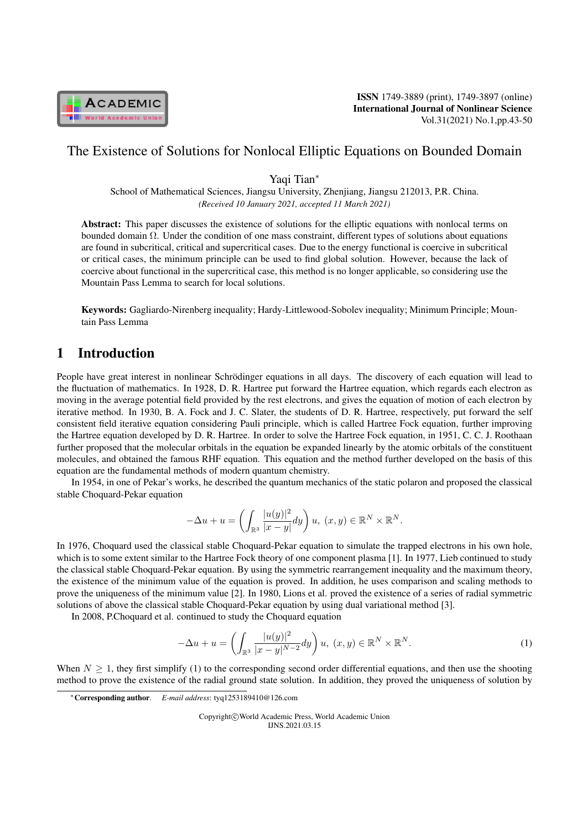

ISSN 1749-3889 (print), 1749-3897 (online) International Journal of Nonlinear Science Vol.31(2021) No.1,pp.43-50

## The Existence of Solutions for Nonlocal Elliptic Equations on Bounded Domain

Yaqi Tian*<sup>∗</sup>*

School of Mathematical Sciences, Jiangsu University, Zhenjiang, Jiangsu 212013, P.R. China. *(Received 10 January 2021, accepted 11 March 2021)*

Abstract: This paper discusses the existence of solutions for the elliptic equations with nonlocal terms on bounded domain Ω. Under the condition of one mass constraint, different types of solutions about equations are found in subcritical, critical and supercritical cases. Due to the energy functional is coercive in subcritical or critical cases, the minimum principle can be used to find global solution. However, because the lack of coercive about functional in the supercritical case, this method is no longer applicable, so considering use the Mountain Pass Lemma to search for local solutions.

Keywords: Gagliardo-Nirenberg inequality; Hardy-Littlewood-Sobolev inequality; Minimum Principle; Mountain Pass Lemma

# 1 Introduction

People have great interest in nonlinear Schrödinger equations in all days. The discovery of each equation will lead to the fluctuation of mathematics. In 1928, D. R. Hartree put forward the Hartree equation, which regards each electron as moving in the average potential field provided by the rest electrons, and gives the equation of motion of each electron by iterative method. In 1930, B. A. Fock and J. C. Slater, the students of D. R. Hartree, respectively, put forward the self consistent field iterative equation considering Pauli principle, which is called Hartree Fock equation, further improving the Hartree equation developed by D. R. Hartree. In order to solve the Hartree Fock equation, in 1951, C. C. J. Roothaan further proposed that the molecular orbitals in the equation be expanded linearly by the atomic orbitals of the constituent molecules, and obtained the famous RHF equation. This equation and the method further developed on the basis of this equation are the fundamental methods of modern quantum chemistry.

In 1954, in one of Pekar's works, he described the quantum mechanics of the static polaron and proposed the classical stable Choquard-Pekar equation

$$
-\Delta u + u = \left(\int_{\mathbb{R}^3} \frac{|u(y)|^2}{|x-y|} dy\right) u, (x, y) \in \mathbb{R}^N \times \mathbb{R}^N.
$$

In 1976, Choquard used the classical stable Choquard-Pekar equation to simulate the trapped electrons in his own hole, which is to some extent similar to the Hartree Fock theory of one component plasma [1]. In 1977, Lieb continued to study the classical stable Choquard-Pekar equation. By using the symmetric rearrangement inequality and the maximum theory, the existence of the minimum value of the equation is proved. In addition, he uses comparison and scaling methods to prove the uniqueness of the minimum value [2]. In 1980, Lions et al. proved the existence of a series of radial symmetric solutions of above the classical stable Choquard-Pekar equation by using dual variational method [3].

In 2008, P.Choquard et al. continued to study the Choquard equation

$$
-\Delta u + u = \left(\int_{\mathbb{R}^3} \frac{|u(y)|^2}{|x - y|^{N-2}} dy\right) u, (x, y) \in \mathbb{R}^N \times \mathbb{R}^N.
$$
 (1)

When  $N \geq 1$ , they first simplify (1) to the corresponding second order differential equations, and then use the shooting method to prove the existence of the radial ground state solution. In addition, they proved the uniqueness of solution by

Copyright*⃝*c World Academic Press, World Academic Union IJNS.2021.03.15

*<sup>∗</sup>*Corresponding author. *E-mail address*: tyq1253189410@126.com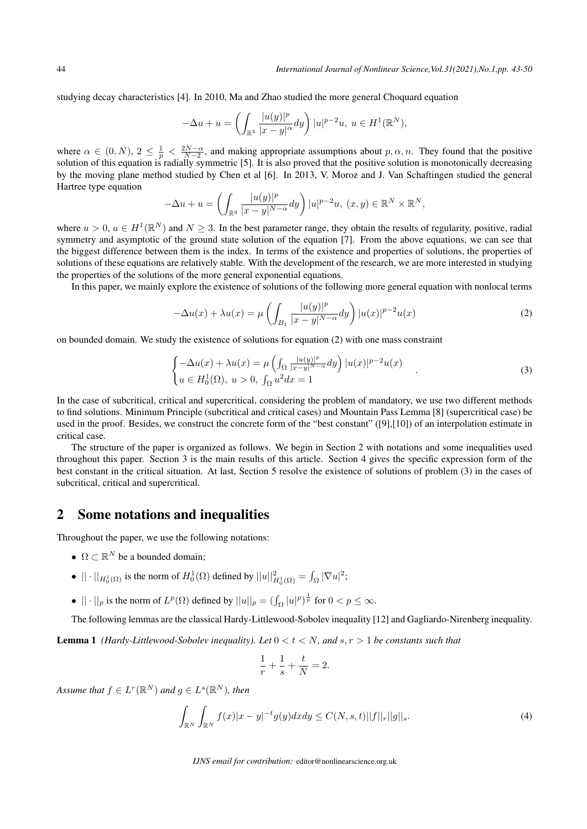studying decay characteristics [4]. In 2010, Ma and Zhao studied the more general Choquard equation

$$
-\Delta u + u = \left(\int_{\mathbb{R}^3} \frac{|u(y)|^p}{|x-y|^{\alpha}} dy\right) |u|^{p-2}u, \ u \in H^1(\mathbb{R}^N),
$$

where  $\alpha \in (0, N)$ ,  $2 \leq \frac{1}{p} < \frac{2N-\alpha}{N-2}$ , and making appropriate assumptions about  $p, \alpha, n$ . They found that the positive solution of this equation is radially symmetric [5]. It is also proved that the positive solution is monotonically decreasing by the moving plane method studied by Chen et al [6]. In 2013, V. Moroz and J. Van Schaftingen studied the general Hartree type equation

$$
-\Delta u + u = \left(\int_{\mathbb{R}^3} \frac{|u(y)|^p}{|x-y|^{N-\alpha}} dy\right) |u|^{p-2}u, (x, y) \in \mathbb{R}^N \times \mathbb{R}^N,
$$

where  $u > 0$ ,  $u \in H^1(\mathbb{R}^N)$  and  $N \geq 3$ . In the best parameter range, they obtain the results of regularity, positive, radial symmetry and asymptotic of the ground state solution of the equation [7]. From the above equations, we can see that the biggest difference between them is the index. In terms of the existence and properties of solutions, the properties of solutions of these equations are relatively stable. With the development of the research, we are more interested in studying the properties of the solutions of the more general exponential equations.

In this paper, we mainly explore the existence of solutions of the following more general equation with nonlocal terms

$$
-\Delta u(x) + \lambda u(x) = \mu \left( \int_{B_1} \frac{|u(y)|^p}{|x - y|^{N - \alpha}} dy \right) |u(x)|^{p-2} u(x) \tag{2}
$$

on bounded domain. We study the existence of solutions for equation (2) with one mass constraint

$$
\begin{cases}\n-\Delta u(x) + \lambda u(x) = \mu \left( \int_{\Omega} \frac{|u(y)|^p}{|x-y|^{N-\alpha}} dy \right) |u(x)|^{p-2} u(x) \\
u \in H_0^1(\Omega), \ u > 0, \ \int_{\Omega} u^2 dx = 1\n\end{cases} \tag{3}
$$

In the case of subcritical, critical and supercritical, considering the problem of mandatory, we use two different methods to find solutions. Minimum Principle (subcritical and critical cases) and Mountain Pass Lemma [8] (supercritical case) be used in the proof. Besides, we construct the concrete form of the "best constant" ([9],[10]) of an interpolation estimate in critical case.

The structure of the paper is organized as follows. We begin in Section 2 with notations and some inequalities used throughout this paper. Section 3 is the main results of this article. Section 4 gives the specific expression form of the best constant in the critical situation. At last, Section 5 resolve the existence of solutions of problem (3) in the cases of subcritical, critical and supercritical.

### 2 Some notations and inequalities

Throughout the paper, we use the following notations:

- $\Omega \subset \mathbb{R}^N$  be a bounded domain;
- $|| \cdot ||_{H_0^1(\Omega)}$  is the norm of  $H_0^1(\Omega)$  defined by  $||u||_{H_0^1(\Omega)}^2 = \int_{\Omega} |\nabla u|^2;$
- $|| \cdot ||_p$  is the norm of  $L^p(\Omega)$  defined by  $||u||_p = (\int_{\Omega} |u|^p)^{\frac{1}{p}}$  for  $0 < p \le \infty$ .

The following lemmas are the classical Hardy-Littlewood-Sobolev inequality [12] and Gagliardo-Nirenberg inequality.

**Lemma 1** *(Hardy-Littlewood-Sobolev inequality). Let*  $0 < t < N$ *, and*  $s, r > 1$  *be constants such that* 

$$
\frac{1}{r} + \frac{1}{s} + \frac{t}{N} = 2.
$$

 $A$ *ssume that*  $f \in L^r(\mathbb{R}^N)$  and  $g \in L^s(\mathbb{R}^N)$ , then

$$
\int_{\mathbb{R}^N} \int_{\mathbb{R}^N} f(x)|x - y|^{-t} g(y) dx dy \le C(N, s, t) ||f||_r ||g||_s.
$$
\n(4)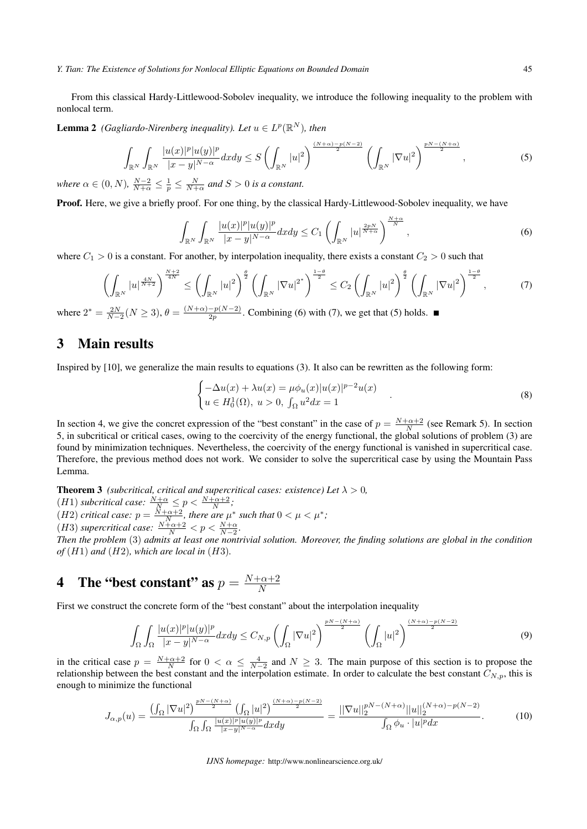#### *Y. Tian: The Existence of Solutions for Nonlocal Elliptic Equations on Bounded Domain* 45

From this classical Hardy-Littlewood-Sobolev inequality, we introduce the following inequality to the problem with nonlocal term.

**Lemma 2** (Gagliardo-Nirenberg inequality). Let  $u \in L^p(\mathbb{R}^N)$ , then

$$
\int_{\mathbb{R}^N}\int_{\mathbb{R}^N}\frac{|u(x)|^p|u(y)|^p}{|x-y|^{N-\alpha}}dxdy \le S\left(\int_{\mathbb{R}^N}|u|^2\right)^{\frac{(N+\alpha)-p(N-2)}{2}}\left(\int_{\mathbb{R}^N}|\nabla u|^2\right)^{\frac{pN-(N+\alpha)}{2}},\tag{5}
$$

*where*  $\alpha \in (0, N)$ ,  $\frac{N-2}{N+\alpha} \leq \frac{1}{p} \leq \frac{N}{N+\alpha}$  and  $S > 0$  is a constant.

Proof. Here, we give a briefly proof. For one thing, by the classical Hardy-Littlewood-Sobolev inequality, we have

$$
\int_{\mathbb{R}^N} \int_{\mathbb{R}^N} \frac{|u(x)|^p |u(y)|^p}{|x-y|^{N-\alpha}} dx dy \le C_1 \left( \int_{\mathbb{R}^N} |u|^{\frac{2pN}{N+\alpha}} \right)^{\frac{N+\alpha}{N}}, \tag{6}
$$

where  $C_1 > 0$  is a constant. For another, by interpolation inequality, there exists a constant  $C_2 > 0$  such that

$$
\left(\int_{\mathbb{R}^N} |u|^{\frac{4N}{N+2}}\right)^{\frac{N+2}{4N}} \le \left(\int_{\mathbb{R}^N} |u|^2\right)^{\frac{\theta}{2}} \left(\int_{\mathbb{R}^N} |\nabla u|^{2^*}\right)^{\frac{1-\theta}{2}} \le C_2 \left(\int_{\mathbb{R}^N} |u|^2\right)^{\frac{\theta}{2}} \left(\int_{\mathbb{R}^N} |\nabla u|^2\right)^{\frac{1-\theta}{2}},\tag{7}
$$

where  $2^* = \frac{2N}{N-2}(N \ge 3)$ ,  $\theta = \frac{(N+\alpha)-p(N-2)}{2p}$ . Combining (6) with (7), we get that (5) holds.

### 3 Main results

Inspired by [10], we generalize the main results to equations (3). It also can be rewritten as the following form:

$$
\begin{cases}\n-\Delta u(x) + \lambda u(x) = \mu \phi_u(x) |u(x)|^{p-2} u(x) \\
u \in H_0^1(\Omega), \ u > 0, \ \int_{\Omega} u^2 dx = 1\n\end{cases}
$$
\n(8)

In section 4, we give the concret expression of the "best constant" in the case of  $p = \frac{N+\alpha+2}{N}$  (see Remark 5). In section 5, in subcritical or critical cases, owing to the coercivity of the energy functional, the global solutions of problem (3) are found by minimization techniques. Nevertheless, the coercivity of the energy functional is vanished in supercritical case. Therefore, the previous method does not work. We consider to solve the supercritical case by using the Mountain Pass Lemma.

**Theorem 3** *(subcritical, critical and supercritical cases: existence) Let*  $\lambda > 0$ *,*  $(H1)$  *subcritical case:*  $\frac{N+\alpha}{N} \leq p < \frac{N+\alpha+2}{N}$ ; (*H2*) *critical case:*  $p = \frac{N+\alpha+2}{N}$ , *there are*  $\mu^*$  *such that*  $0 < \mu < \mu^*$ ;  $(H3)$  *supercritical case:*  $\frac{N+\alpha+2}{N} < p < \frac{N+\alpha}{N-2}$ .

*Then the problem* (3) *admits at least one nontrivial solution. Moreover, the finding solutions are global in the condition*  $of$   $(H1)$  *and*  $(H2)$ *, which are local in*  $(H3)$ *.* 

#### 4 The "best constant" as  $p = \frac{N+\alpha+2}{N}$ *N*

First we construct the concrete form of the "best constant" about the interpolation inequality

$$
\int_{\Omega} \int_{\Omega} \frac{|u(x)|^p |u(y)|^p}{|x-y|^{N-\alpha}} dx dy \le C_{N,p} \left( \int_{\Omega} |\nabla u|^2 \right)^{\frac{pN-(N+\alpha)}{2}} \left( \int_{\Omega} |u|^2 \right)^{\frac{(N+\alpha)-p(N-2)}{2}} \tag{9}
$$

in the critical case  $p = \frac{N+\alpha+2}{N}$  for  $0 < \alpha \le \frac{4}{N-2}$  and  $N \ge 3$ . The main purpose of this section is to propose the relationship between the best constant and the interpolation estimate. In order to calculate the best constant  $C_{N,p}$ , this is enough to minimize the functional

$$
J_{\alpha,p}(u) = \frac{\left(\int_{\Omega} |\nabla u|^2\right)^{\frac{pN - (N+\alpha)}{2}} \left(\int_{\Omega} |u|^2\right)^{\frac{(N+\alpha)-p(N-2)}{2}}}{\int_{\Omega} \int_{\Omega} \frac{|u(x)|^p |u(y)|^p}{|x-y|^{N-\alpha}} dx dy} = \frac{||\nabla u||_2^{pN - (N+\alpha)} ||u||_2^{\frac{(N+\alpha)-p(N-2)}{2}}}{\int_{\Omega} \phi_u \cdot |u|^p dx}.
$$
 (10)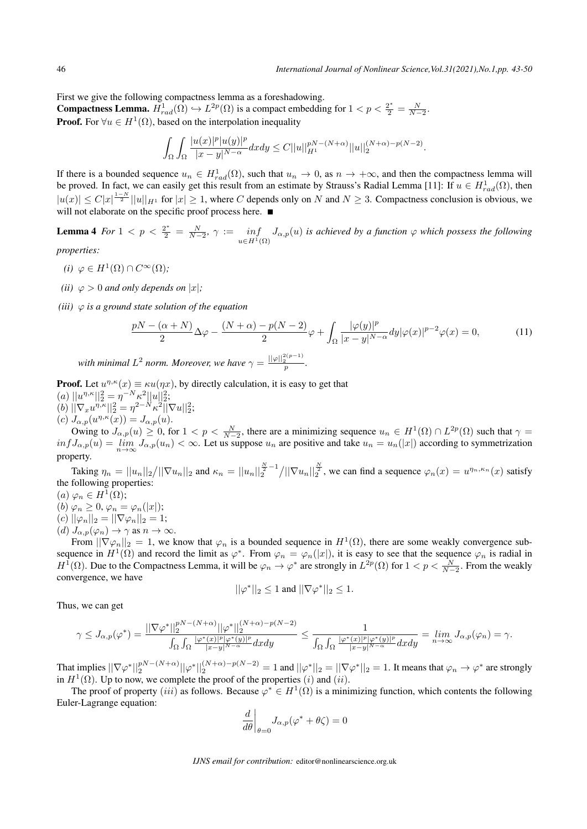First we give the following compactness lemma as a foreshadowing.

**Compactness Lemma.**  $H_{rad}^1(\Omega) \hookrightarrow L^{2p}(\Omega)$  is a compact embedding for  $1 < p < \frac{2^*}{2} = \frac{N}{N-2}$ . **Proof.** For  $\forall u \in H^1(\Omega)$ , based on the interpolation inequality

$$
\int_{\Omega}\int_{\Omega}\frac{|u(x)|^{p}|u(y)|^{p}}{|x-y|^{N-\alpha}}dxdy\leq C||u||_{H^{1}}^{pN-(N+\alpha)}||u||_{2}^{(N+\alpha)-p(N-2)}.
$$

If there is a bounded sequence  $u_n \in H_{rad}^1(\Omega)$ , such that  $u_n \to 0$ , as  $n \to +\infty$ , and then the compactness lemma will be proved. In fact, we can easily get this result from an estimate by Strauss's Radial Lemma [11]: If  $u \in H_{rad}^1(\Omega)$ , then  $|u(x)| \le C|x|^{\frac{1-N}{2}}||u||_{H^1}$  for  $|x| \ge 1$ , where C depends only on N and  $N \ge 3$ . Compactness conclusion is obvious, we will not elaborate on the specific proof process here.

**Lemma 4** For  $1 < p < \frac{2^*}{2} = \frac{N}{N-2}$ ,  $\gamma := \inf_{y \in H_1}$ *u∈H*1(Ω)  $J_{\alpha,p}(u)$  *is achieved by a function*  $\varphi$  *which possess the following* 

*properties:*

- $(i)$   $\varphi \in H^1(\Omega) \cap C^\infty(\Omega)$ ;
- *(ii)*  $\varphi > 0$  *and only depends on*  $|x|$ *;*
- *(iii) φ is a ground state solution of the equation*

$$
\frac{pN - (\alpha + N)}{2} \Delta \varphi - \frac{(N + \alpha) - p(N - 2)}{2} \varphi + \int_{\Omega} \frac{|\varphi(y)|^p}{|x - y|^{N - \alpha}} dy |\varphi(x)|^{p - 2} \varphi(x) = 0,
$$
\n(11)

*with minimal*  $L^2$  *norm. Moreover, we have*  $\gamma = \frac{||\varphi||_2^{2(p-1)}}{p}$ .

**Proof.** Let  $u^{\eta,\kappa}(x) \equiv \kappa u(\eta x)$ , by directly calculation, it is easy to get that  $(a) ||u^{\eta,\kappa}||_2^2 = \eta^{-N} \kappa^2 ||u||_2^2;$  $(b) \|\nabla_x u^{\eta,\kappa}\|_2^2 = \eta^{2-N} \kappa^2 \|\nabla u\|_2^2;$ 

 $(c)$   $J_{\alpha,p}(u^{\eta,\kappa}(x)) = J_{\alpha,p}(u).$ 

Owing to  $J_{\alpha,p}(u) \geq 0$ , for  $1 < p < \frac{N}{N-2}$ , there are a minimizing sequence  $u_n \in H^1(\Omega) \cap L^{2p}(\Omega)$  such that  $\gamma =$  $inf J_{\alpha,p}(u) = \lim_{n \to \infty} J_{\alpha,p}(u_n) < \infty$ . Let us suppose  $u_n$  are positive and take  $u_n = u_n(|x|)$  according to symmetrization property.

Taking  $\eta_n = ||u_n||_2/||\nabla u_n||_2$  and  $\kappa_n = ||u_n||_2^{\frac{N}{2}-1}/||\nabla u_n||_2^{\frac{N}{2}}$ , we can find a sequence  $\varphi_n(x) = u^{\eta_n, \kappa_n}(x)$  satisfy the following properties:

 $(a) \varphi_n \in H^1(\Omega);$ 

- $(b) \varphi_n \geq 0, \varphi_n = \varphi_n(|x|);$
- $(c)$   $||\varphi_n||_2 = ||\nabla \varphi_n||_2 = 1;$  $(d)$   $J_{\alpha,p}(\varphi_n) \to \gamma$  as  $n \to \infty$ .

From  $\|\nabla \varphi_n\|_2 = 1$ , we know that  $\varphi_n$  is a bounded sequence in  $H^1(\Omega)$ , there are some weakly convergence subsequence in  $H^1(\Omega)$  and record the limit as  $\varphi^*$ . From  $\varphi_n = \varphi_n(|x|)$ , it is easy to see that the sequence  $\varphi_n$  is radial in *H*<sup>1</sup>( $\Omega$ ). Due to the Compactness Lemma, it will be  $\varphi_n \to \varphi^*$  are strongly in  $L^{2p}(\Omega)$  for  $1 < p < \frac{N}{N-2}$ . From the weakly convergence, we have

$$
||\varphi^*||_2 \le 1 \text{ and } ||\nabla \varphi^*||_2 \le 1.
$$

Thus, we can get

$$
\gamma\leq J_{\alpha,p}(\varphi^*)=\frac{||\nabla \varphi^*||_2^{pN-(N+\alpha)}||\varphi^*||_2^{(N+\alpha)-p(N-2)}}{\int_\Omega\int_\Omega\frac{|\varphi^*(x)|^p|\varphi^*(y)|^p}{|x-y|^{N-\alpha}}dxdy}\leq\frac{1}{\int_\Omega\int_\Omega\frac{|\varphi^*(x)|^p|\varphi^*(y)|^p}{|x-y|^{N-\alpha}}dxdy}=\lim_{n\to\infty}J_{\alpha,p}(\varphi_n)=\gamma.
$$

That implies  $||\nabla \varphi^*||_2^{pN-(N+\alpha)}||\varphi^*||_2^{(N+\alpha)-p(N-2)} = 1$  and  $||\varphi^*||_2 = ||\nabla \varphi^*||_2 = 1$ . It means that  $\varphi_n \to \varphi^*$  are strongly in  $H^1(\Omega)$ . Up to now, we complete the proof of the properties  $(i)$  and  $(ii)$ .

The proof of property (*iii*) as follows. Because  $\varphi^* \in H^1(\Omega)$  is a minimizing function, which contents the following Euler-Lagrange equation:

$$
\left.\frac{d}{d\theta}\right|_{\theta=0}J_{\alpha,p}(\varphi^*+\theta\zeta)=0
$$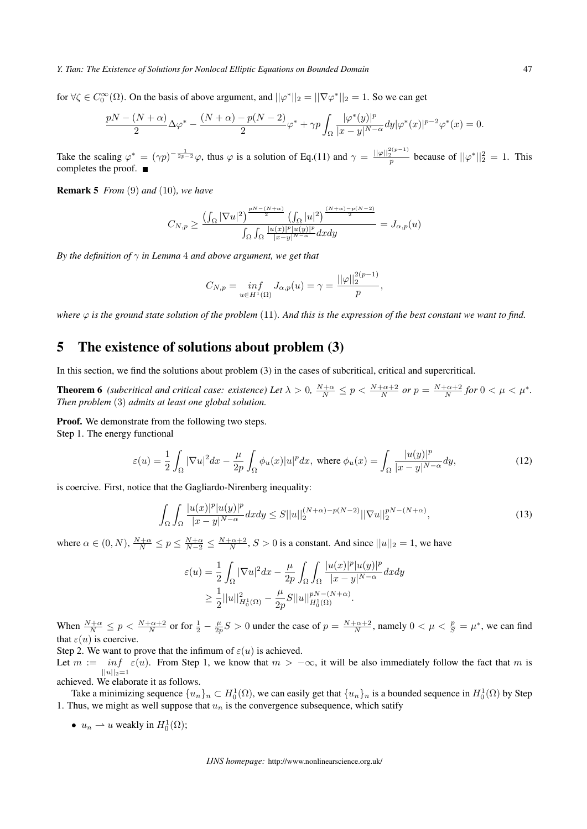#### *Y. Tian: The Existence of Solutions for Nonlocal Elliptic Equations on Bounded Domain* 47

for  $\forall \zeta \in C_0^{\infty}(\Omega)$ . On the basis of above argument, and  $||\varphi^*||_2 = ||\nabla \varphi^*||_2 = 1$ . So we can get

$$
\frac{pN-(N+\alpha)}{2}\Delta\varphi^* - \frac{(N+\alpha)-p(N-2)}{2}\varphi^* + \gamma p \int_{\Omega} \frac{|\varphi^*(y)|^p}{|x-y|^{N-\alpha}} dy |\varphi^*(x)|^{p-2}\varphi^*(x) = 0.
$$

Take the scaling  $\varphi^* = (\gamma p)^{-\frac{1}{2p-2}} \varphi$ , thus  $\varphi$  is a solution of Eq.(11) and  $\gamma = \frac{||\varphi||_2^{2(p-1)}}{p}$  because of  $||\varphi^*||_2^2 = 1$ . This completes the proof.

Remark 5 *From* (9) *and* (10)*, we have*

$$
C_{N,p} \ge \frac{\left(\int_{\Omega} |\nabla u|^2\right)^{\frac{pN-(N+\alpha)}{2}} \left(\int_{\Omega} |u|^2\right)^{\frac{(N+\alpha)-p(N-2)}{2}}}{\int_{\Omega} \int_{\Omega} \frac{|u(x)|^p |u(y)|^p}{|x-y|^{N-\alpha}} dx dy} = J_{\alpha,p}(u)
$$

*By the definition of γ in Lemma* 4 *and above argument, we get that*

$$
C_{N,p} = \inf_{u \in H^1(\Omega)} J_{\alpha,p}(u) = \gamma = \frac{||\varphi||_2^{2(p-1)}}{p},
$$

*where*  $\varphi$  *is the ground state solution of the problem* (11)*. And this is the expression of the best constant we want to find.* 

### 5 The existence of solutions about problem (3)

In this section, we find the solutions about problem (3) in the cases of subcritical, critical and supercritical.

**Theorem 6** (subcritical and critical case: existence) Let  $\lambda > 0$ ,  $\frac{N+\alpha}{N} \le p < \frac{N+\alpha+2}{N}$  or  $p = \frac{N+\alpha+2}{N}$  for  $0 < \mu < \mu^*$ . *Then problem* (3) *admits at least one global solution.*

Proof. We demonstrate from the following two steps. Step 1. The energy functional

$$
\varepsilon(u) = \frac{1}{2} \int_{\Omega} |\nabla u|^2 dx - \frac{\mu}{2p} \int_{\Omega} \phi_u(x) |u|^p dx, \text{ where } \phi_u(x) = \int_{\Omega} \frac{|u(y)|^p}{|x - y|^{N - \alpha}} dy,
$$
 (12)

is coercive. First, notice that the Gagliardo-Nirenberg inequality:

$$
\int_{\Omega} \int_{\Omega} \frac{|u(x)|^p |u(y)|^p}{|x-y|^{N-\alpha}} dx dy \le S ||u||_2^{\left(N+\alpha\right)-p\left(N-2\right)} ||\nabla u||_2^{pN-\left(N+\alpha\right)},\tag{13}
$$

where  $\alpha \in (0, N)$ ,  $\frac{N+\alpha}{N} \le p \le \frac{N+\alpha}{N-2} \le \frac{N+\alpha+2}{N}$ ,  $S > 0$  is a constant. And since  $||u||_2 = 1$ , we have

$$
\varepsilon(u) = \frac{1}{2} \int_{\Omega} |\nabla u|^2 dx - \frac{\mu}{2p} \int_{\Omega} \int_{\Omega} \frac{|u(x)|^p |u(y)|^p}{|x - y|^{N - \alpha}} dx dy
$$
  

$$
\geq \frac{1}{2} ||u||_{H_0^1(\Omega)}^2 - \frac{\mu}{2p} S ||u||_{H_0^1(\Omega)}^{pN - (N + \alpha)}.
$$

When  $\frac{N+\alpha}{N} \le p < \frac{N+\alpha+2}{N}$  or for  $\frac{1}{2} - \frac{\mu}{2p}S > 0$  under the case of  $p = \frac{N+\alpha+2}{N}$ , namely  $0 < \mu < \frac{p}{S} = \mu^*$ , we can find that  $\varepsilon(u)$  is coercive.

Step 2. We want to prove that the infimum of  $\varepsilon(u)$  is achieved.

Let  $m := \inf \varepsilon(u)$ . From Step 1, we know that  $m > -\infty$ , it will be also immediately follow the fact that m is  $||u||_2 = 1$ 

achieved. We elaborate it as follows.

Take a minimizing sequence  $\{u_n\}_n \subset H_0^1(\Omega)$ , we can easily get that  $\{u_n\}_n$  is a bounded sequence in  $H_0^1(\Omega)$  by Step 1. Thus, we might as well suppose that  $u_n$  is the convergence subsequence, which satify

•  $u_n \rightharpoonup u$  weakly in  $H_0^1(\Omega)$ ;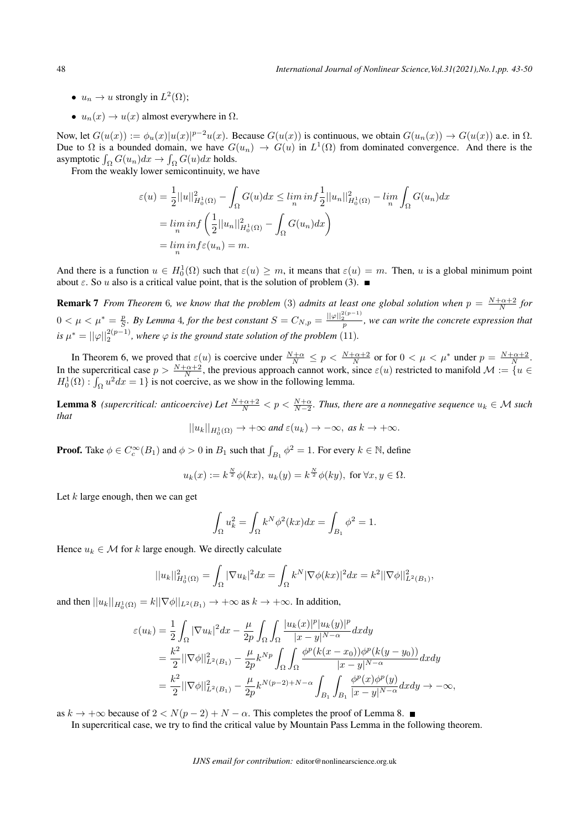- $u_n \to u$  strongly in  $L^2(\Omega)$ ;
- $u_n(x) \to u(x)$  almost everywhere in  $\Omega$ .

Now, let  $G(u(x)) := \phi_u(x)|u(x)|^{p-2}u(x)$ . Because  $G(u(x))$  is continuous, we obtain  $G(u_n(x)) \to G(u(x))$  a.e. in  $\Omega$ . Due to  $\Omega$  is a bounded domain, we have  $G(u_n) \to G(u)$  in  $L^1(\Omega)$  from dominated convergence. And there is the asymptotic  $\int_{\Omega} G(u_n) dx \to \int_{\Omega} G(u) dx$  holds.

From the weakly lower semicontinuity, we have

$$
\varepsilon(u) = \frac{1}{2} ||u||_{H_0^1(\Omega)}^2 - \int_{\Omega} G(u) dx \le \lim_{n} \inf \frac{1}{2} ||u_n||_{H_0^1(\Omega)}^2 - \lim_{n} \int_{\Omega} G(u_n) dx
$$
  
=  $\lim_{n} \inf \left( \frac{1}{2} ||u_n||_{H_0^1(\Omega)}^2 - \int_{\Omega} G(u_n) dx \right)$   
=  $\lim_{n} \inf \varepsilon(u_n) = m.$ 

And there is a function  $u \in H_0^1(\Omega)$  such that  $\varepsilon(u) \geq m$ , it means that  $\varepsilon(u) = m$ . Then, *u* is a global minimum point about  $\varepsilon$ . So  $u$  also is a critical value point, that is the solution of problem (3).

**Remark 7** *From Theorem* 6, we know that the problem (3) admits at least one global solution when  $p = \frac{N+\alpha+2}{N}$  for *N*  $0<\mu<\mu^*=\frac{p}{S}$ . By Lemma 4, for the best constant  $S=C_{N,p}=\frac{||\varphi||_2^{2(p-1)}}{p}$ , we can write the concrete expression that *is*  $\mu^* = ||\varphi||_2^{2(p-1)}$ , where  $\varphi$  *is the ground state solution of the problem* (11).

In Theorem 6, we proved that  $\varepsilon(u)$  is coercive under  $\frac{N+\alpha}{N} \leq p < \frac{N+\alpha+2}{N}$  or for  $0 < \mu < \mu^*$  under  $p = \frac{N+\alpha+2}{N}$ . In the supercritical case  $p > \frac{N+\alpha+2}{N}$ , the previous approach cannot work, since  $\varepsilon(u)$  restricted to manifold  $\mathcal{M} := \{u \in$  $H_0^1(\Omega)$ :  $\int_{\Omega} u^2 dx = 1$ } is not coercive, as we show in the following lemma.

**Lemma 8** *(supercritical: anticoercive) Let*  $\frac{N+\alpha+2}{N} < p < \frac{N+\alpha}{N-2}$ . Thus, there are a nonnegative sequence  $u_k \in \mathcal{M}$  such *that*

$$
||u_k||_{H_0^1(\Omega)} \to +\infty \text{ and } \varepsilon(u_k) \to -\infty, \text{ as } k \to +\infty.
$$

**Proof.** Take  $\phi \in C_c^{\infty}(B_1)$  and  $\phi > 0$  in  $B_1$  such that  $\int_{B_1} \phi^2 = 1$ . For every  $k \in \mathbb{N}$ , define

$$
u_k(x) := k^{\frac{N}{2}} \phi(kx), \ u_k(y) = k^{\frac{N}{2}} \phi(ky), \text{ for } \forall x, y \in \Omega.
$$

Let *k* large enough, then we can get

$$
\int_{\Omega} u_k^2 = \int_{\Omega} k^N \phi^2(kx) dx = \int_{B_1} \phi^2 = 1.
$$

Hence  $u_k \in \mathcal{M}$  for *k* large enough. We directly calculate

$$
||u_k||_{H_0^1(\Omega)}^2 = \int_{\Omega} |\nabla u_k|^2 dx = \int_{\Omega} k^N |\nabla \phi(kx)|^2 dx = k^2 ||\nabla \phi||_{L^2(B_1)}^2,
$$

and then  $||u_k||_{H_0^1(\Omega)} = k||\nabla \phi||_{L^2(B_1)} \to +\infty$  as  $k \to +\infty$ . In addition,

$$
\varepsilon(u_k) = \frac{1}{2} \int_{\Omega} |\nabla u_k|^2 dx - \frac{\mu}{2p} \int_{\Omega} \int_{\Omega} \frac{|u_k(x)|^p |u_k(y)|^p}{|x - y|^{N - \alpha}} dx dy \n= \frac{k^2}{2} ||\nabla \phi||_{L^2(B_1)}^2 - \frac{\mu}{2p} k^{Np} \int_{\Omega} \int_{\Omega} \frac{\phi^p (k(x - x_0)) \phi^p (k(y - y_0))}{|x - y|^{N - \alpha}} dx dy \n= \frac{k^2}{2} ||\nabla \phi||_{L^2(B_1)}^2 - \frac{\mu}{2p} k^{N(p-2) + N - \alpha} \int_{B_1} \int_{B_1} \frac{\phi^p (x) \phi^p (y)}{|x - y|^{N - \alpha}} dx dy \to -\infty,
$$

as  $k \rightarrow +\infty$  because of 2 <  $N(p-2) + N - \alpha$ . This completes the proof of Lemma 8. ■

In supercritical case, we try to find the critical value by Mountain Pass Lemma in the following theorem.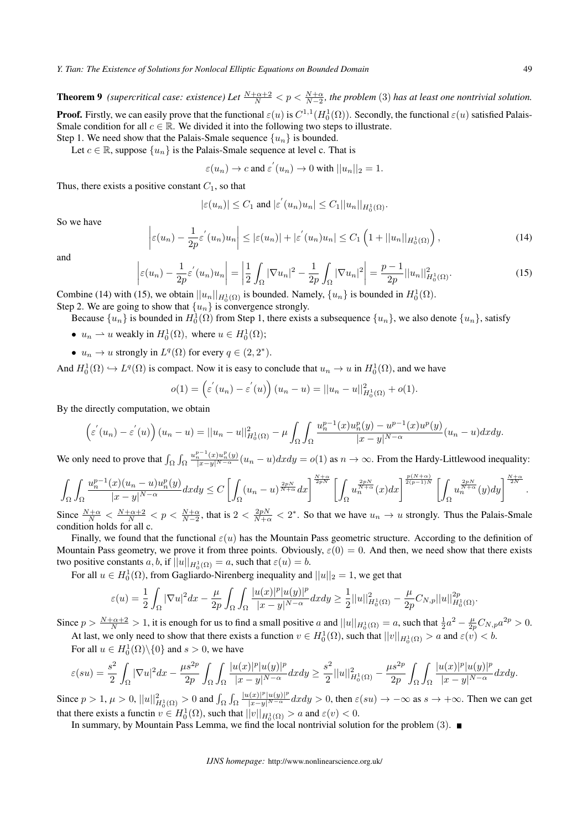**Theorem 9** (supercritical case: existence) Let  $\frac{N+\alpha+2}{N} < p < \frac{N+\alpha}{N-2}$ , the problem (3) has at least one nontrivial solution. **Proof.** Firstly, we can easily prove that the functional  $\varepsilon(u)$  is  $C^{1,1}(H_0^1(\Omega))$ . Secondly, the functional  $\varepsilon(u)$  satisfied Palais-

Smale condition for all  $c \in \mathbb{R}$ . We divided it into the following two steps to illustrate. Step 1. We need show that the Palais-Smale sequence  $\{u_n\}$  is bounded.

Let  $c \in \mathbb{R}$ , suppose  $\{u_n\}$  is the Palais-Smale sequence at level c. That is

$$
\varepsilon(u_n) \to c
$$
 and  $\varepsilon'(u_n) \to 0$  with  $||u_n||_2 = 1$ .

Thus, there exists a positive constant  $C_1$ , so that

 $\begin{array}{c} \end{array}$  $\overline{\phantom{a}}$  $\overline{\phantom{a}}$ 

$$
|\varepsilon(u_n)| \leq C_1 \text{ and } |\varepsilon^{'}(u_n)u_n| \leq C_1||u_n||_{H_0^1(\Omega)}.
$$

So we have

$$
\varepsilon(u_n) - \frac{1}{2p} \varepsilon^{'}(u_n) u_n \leq |\varepsilon(u_n)| + |\varepsilon^{'}(u_n) u_n| \leq C_1 \left( 1 + ||u_n||_{H_0^1(\Omega)} \right),\tag{14}
$$

and

$$
\left|\varepsilon(u_n) - \frac{1}{2p}\varepsilon'(u_n)u_n\right| = \left|\frac{1}{2}\int_{\Omega} |\nabla u_n|^2 - \frac{1}{2p}\int_{\Omega} |\nabla u_n|^2\right| = \frac{p-1}{2p}||u_n||_{H_0^1(\Omega)}^2.
$$
\n(15)

Combine (14) with (15), we obtain  $||u_n||_{H_0^1(\Omega)}$  is bounded. Namely,  $\{u_n\}$  is bounded in  $H_0^1(\Omega)$ .

Step 2. We are going to show that  $\{u_n\}$  is convergence strongly.

Because  $\{u_n\}$  is bounded in  $H_0^1(\Omega)$  from Step 1, there exists a subsequence  $\{u_n\}$ , we also denote  $\{u_n\}$ , satisfy

- $u_n \rightharpoonup u$  weakly in  $H_0^1(\Omega)$ , where  $u \in H_0^1(\Omega)$ ;
- $u_n \to u$  strongly in  $L^q(\Omega)$  for every  $q \in (2, 2^*)$ .

And  $H_0^1(\Omega) \hookrightarrow L^q(\Omega)$  is compact. Now it is easy to conclude that  $u_n \to u$  in  $H_0^1(\Omega)$ , and we have

$$
o(1) = \left(\varepsilon^{'}(u_n) - \varepsilon^{'}(u)\right)(u_n - u) = ||u_n - u||_{H_0^1(\Omega)}^2 + o(1).
$$

By the directly computation, we obtain

$$
\left(\varepsilon^{'}(u_{n})-\varepsilon^{'}(u)\right)(u_{n}-u)=||u_{n}-u||_{H_{0}^{1}(\Omega)}^{2}-\mu\int_{\Omega}\int_{\Omega}\frac{u_{n}^{p-1}(x)u_{n}^{p}(y)-u^{p-1}(x)u^{p}(y)}{|x-y|^{N-\alpha}}(u_{n}-u)dxdy.
$$

We only need to prove that  $\int_{\Omega} \int_{\Omega}$  $\frac{u_n^{p-1}(x)u_n^p(y)}{|x-y|^{N-\alpha}}(u_n-u)dxdy = o(1)$  as  $n \to \infty$ . From the Hardy-Littlewood inequality:

$$
\int_{\Omega}\int_{\Omega}\frac{u_n^{p-1}(x)(u_n-u)u_n^p(y)}{|x-y|^{N-\alpha}}dxdy \leq C\left[\int_{\Omega}(u_n-u)^{\frac{2pN}{N+\alpha}}dx\right]^{\frac{N+\alpha}{2pN}}\left[\int_{\Omega}u_n^{\frac{2pN}{N+\alpha}}(x)dx\right]^{\frac{p(N+\alpha)}{2(p-1)N}}\left[\int_{\Omega}u_n^{\frac{2pN}{N+\alpha}}(y)dy\right]^{\frac{N+\alpha}{2N}}.
$$

Since  $\frac{N+\alpha}{N} < \frac{N+\alpha+2}{N} < p < \frac{N+\alpha}{N-2}$ , that is  $2 < \frac{2pN}{N+\alpha} < 2^*$ . So that we have  $u_n \to u$  strongly. Thus the Palais-Smale condition holds for all c.

Finally, we found that the functional  $\varepsilon(u)$  has the Mountain Pass geometric structure. According to the definition of Mountain Pass geometry, we prove it from three points. Obviously,  $\varepsilon(0) = 0$ . And then, we need show that there exists two positive constants  $a, b$ , if  $||u||_{H_0^1(\Omega)} = a$ , such that  $\varepsilon(u) = b$ .

For all  $u \in H_0^1(\Omega)$ , from Gagliardo-Nirenberg inequality and  $||u||_2 = 1$ , we get that

$$
\varepsilon(u)=\frac{1}{2}\int_{\Omega}|\nabla u|^{2}dx-\frac{\mu}{2p}\int_{\Omega}\int_{\Omega}\frac{|u(x)|^{p}|u(y)|^{p}}{|x-y|^{N-\alpha}}dxdy\geq\frac{1}{2}||u||_{H_{0}^{1}(\Omega)}^{2}-\frac{\mu}{2p}C_{N,p}||u||_{H_{0}^{1}(\Omega)}^{2p}.
$$

Since  $p > \frac{N+\alpha+2}{N} > 1$ , it is enough for us to find a small positive a and  $||u||_{H_0^1(\Omega)} = a$ , such that  $\frac{1}{2}a^2 - \frac{\mu}{2p}C_{N,p}a^{2p} > 0$ . At last, we only need to show that there exists a function  $v \in H_0^1(\Omega)$ , such that  $||v||_{H_0^1(\Omega)} > a$  and  $\varepsilon(v) < b$ .

For all  $u \in H_0^1(\Omega) \setminus \{0\}$  and  $s > 0$ , we have

$$
\varepsilon(su) = \frac{s^2}{2} \int_{\Omega} |\nabla u|^2 dx - \frac{\mu s^{2p}}{2p} \int_{\Omega} \int_{\Omega} \frac{|u(x)|^p |u(y)|^p}{|x-y|^{N-\alpha}} dx dy \ge \frac{s^2}{2} ||u||^2_{H_0^1(\Omega)} - \frac{\mu s^{2p}}{2p} \int_{\Omega} \int_{\Omega} \frac{|u(x)|^p |u(y)|^p}{|x-y|^{N-\alpha}} dx dy.
$$

Since  $p > 1$ ,  $\mu > 0$ ,  $||u||_{H_0^1(\Omega)}^2 > 0$  and  $\int_{\Omega} \int_{\Omega} \frac{|u(x)|^p |u(y)|^p}{|x-y|^{N-\alpha}} dx dy > 0$ , then  $\varepsilon(su) \to -\infty$  as  $s \to +\infty$ . Then we can get that there exists a functin  $v \in H_0^1(\Omega)$ , such that  $||v||_{H_0^1(\Omega)} > a$  and  $\varepsilon(v) < 0$ .

In summary, by Mountain Pass Lemma, we find the local nontrivial solution for the problem  $(3)$ .